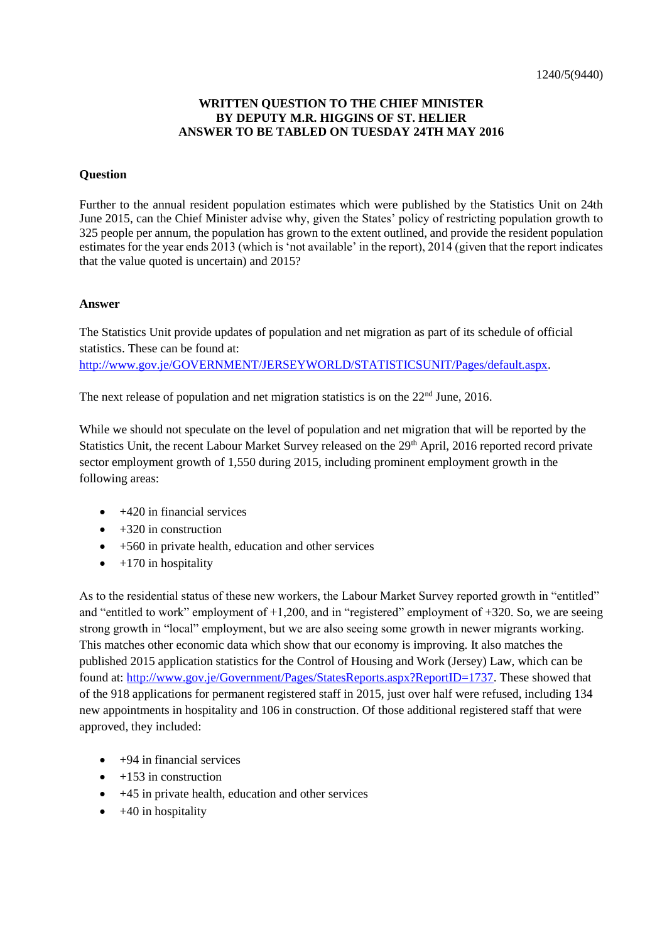## **WRITTEN QUESTION TO THE CHIEF MINISTER BY DEPUTY M.R. HIGGINS OF ST. HELIER ANSWER TO BE TABLED ON TUESDAY 24TH MAY 2016**

## **Question**

Further to the annual resident population estimates which were published by the Statistics Unit on 24th June 2015, can the Chief Minister advise why, given the States' policy of restricting population growth to 325 people per annum, the population has grown to the extent outlined, and provide the resident population estimates for the year ends 2013 (which is 'not available' in the report), 2014 (given that the report indicates that the value quoted is uncertain) and 2015?

## **Answer**

The Statistics Unit provide updates of population and net migration as part of its schedule of official statistics. These can be found at:

[http://www.gov.je/GOVERNMENT/JERSEYWORLD/STATISTICSUNIT/Pages/default.aspx.](http://www.gov.je/GOVERNMENT/JERSEYWORLD/STATISTICSUNIT/Pages/default.aspx)

The next release of population and net migration statistics is on the 22<sup>nd</sup> June, 2016.

While we should not speculate on the level of population and net migration that will be reported by the Statistics Unit, the recent Labour Market Survey released on the 29<sup>th</sup> April, 2016 reported record private sector employment growth of 1,550 during 2015, including prominent employment growth in the following areas:

- $\bullet$  +420 in financial services
- $\bullet$  +320 in construction
- $\bullet$  +560 in private health, education and other services
- $\bullet$  +170 in hospitality

As to the residential status of these new workers, the Labour Market Survey reported growth in "entitled" and "entitled to work" employment of +1,200, and in "registered" employment of +320. So, we are seeing strong growth in "local" employment, but we are also seeing some growth in newer migrants working. This matches other economic data which show that our economy is improving. It also matches the published 2015 application statistics for the Control of Housing and Work (Jersey) Law, which can be found at: [http://www.gov.je/Government/Pages/StatesReports.aspx?ReportID=1737.](http://www.gov.je/Government/Pages/StatesReports.aspx?ReportID=1737) These showed that of the 918 applications for permanent registered staff in 2015, just over half were refused, including 134 new appointments in hospitality and 106 in construction. Of those additional registered staff that were approved, they included:

- $\bullet$  +94 in financial services
- $+153$  in construction
- $\bullet$  +45 in private health, education and other services
- $\bullet$  +40 in hospitality